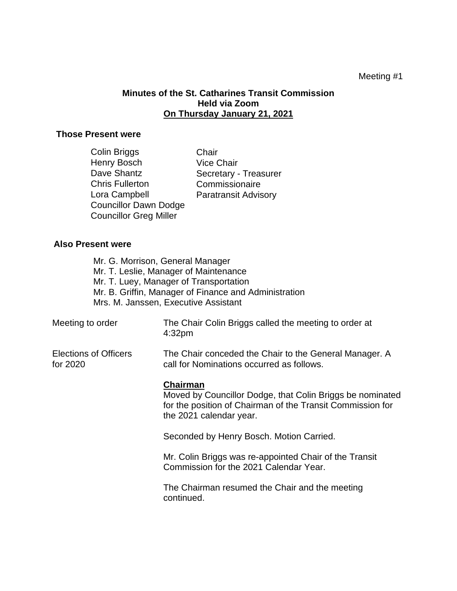## Meeting #1

# **Minutes of the St. Catharines Transit Commission Held via Zoom On Thursday January 21, 2021**

## **Those Present were**

| Colin Briggs                  | Chair                       |
|-------------------------------|-----------------------------|
| <b>Henry Bosch</b>            | <b>Vice Chair</b>           |
| Dave Shantz                   | Secretary - Treasurer       |
| <b>Chris Fullerton</b>        | Commissionaire              |
| Lora Campbell                 | <b>Paratransit Advisory</b> |
| <b>Councillor Dawn Dodge</b>  |                             |
| <b>Councillor Greg Miller</b> |                             |

### **Also Present were**

Mr. G. Morrison, General Manager Mr. T. Leslie, Manager of Maintenance Mr. T. Luey, Manager of Transportation Mr. B. Griffin, Manager of Finance and Administration Mrs. M. Janssen, Executive Assistant

Meeting to order The Chair Colin Briggs called the meeting to order at 4:32pm

Elections of Officers for 2020

The Chair conceded the Chair to the General Manager. A call for Nominations occurred as follows.

#### **Chairman**

Moved by Councillor Dodge, that Colin Briggs be nominated for the position of Chairman of the Transit Commission for the 2021 calendar year.

Seconded by Henry Bosch. Motion Carried.

Mr. Colin Briggs was re-appointed Chair of the Transit Commission for the 2021 Calendar Year.

The Chairman resumed the Chair and the meeting continued.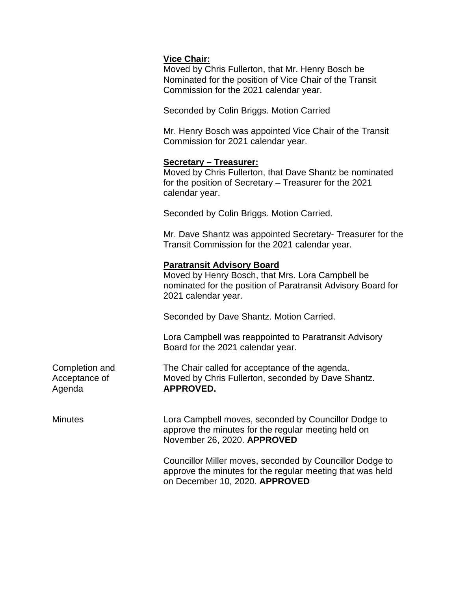# **Vice Chair:**

Moved by Chris Fullerton, that Mr. Henry Bosch be Nominated for the position of Vice Chair of the Transit Commission for the 2021 calendar year.

Seconded by Colin Briggs. Motion Carried

Mr. Henry Bosch was appointed Vice Chair of the Transit Commission for 2021 calendar year.

## **Secretary – Treasurer:**

Moved by Chris Fullerton, that Dave Shantz be nominated for the position of Secretary – Treasurer for the 2021 calendar year.

Seconded by Colin Briggs. Motion Carried.

Mr. Dave Shantz was appointed Secretary- Treasurer for the Transit Commission for the 2021 calendar year.

## **Paratransit Advisory Board**

Moved by Henry Bosch, that Mrs. Lora Campbell be nominated for the position of Paratransit Advisory Board for 2021 calendar year.

Seconded by Dave Shantz. Motion Carried.

Lora Campbell was reappointed to Paratransit Advisory Board for the 2021 calendar year.

| Completion and | The Chair called for acceptance of the agenda.     |
|----------------|----------------------------------------------------|
| Acceptance of  | Moved by Chris Fullerton, seconded by Dave Shantz. |
| Agenda         | APPROVED.                                          |

Minutes Lora Campbell moves, seconded by Councillor Dodge to approve the minutes for the regular meeting held on November 26, 2020. **APPROVED**

> Councillor Miller moves, seconded by Councillor Dodge to approve the minutes for the regular meeting that was held on December 10, 2020. **APPROVED**